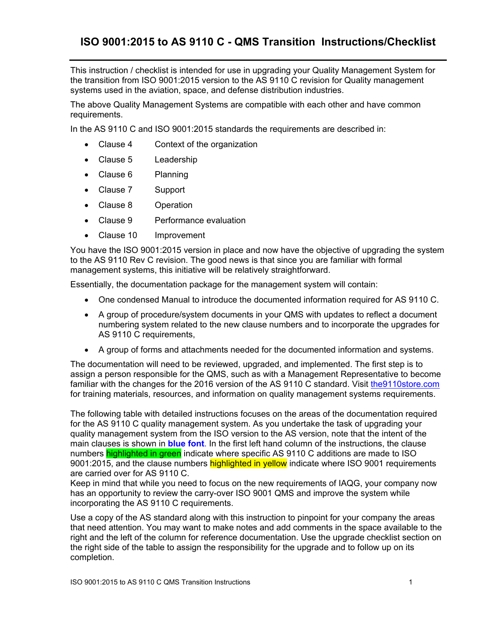This instruction / checklist is intended for use in upgrading your Quality Management System for the transition from ISO 9001:2015 version to the AS 9110 C revision for Quality management systems used in the aviation, space, and defense distribution industries.

The above Quality Management Systems are compatible with each other and have common requirements.

In the AS 9110 C and ISO 9001:2015 standards the requirements are described in:

- Clause 4 Context of the organization
- Clause 5 Leadership
- Clause 6 Planning
- Clause 7 Support
- Clause 8 Operation
- Clause 9 Performance evaluation
- Clause 10 Improvement

You have the ISO 9001:2015 version in place and now have the objective of upgrading the system to the AS 9110 Rev C revision. The good news is that since you are familiar with formal management systems, this initiative will be relatively straightforward.

Essentially, the documentation package for the management system will contain:

- One condensed Manual to introduce the documented information required for AS 9110 C.
- A group of procedure/system documents in your QMS with updates to reflect a document numbering system related to the new clause numbers and to incorporate the upgrades for AS 9110 C requirements,
- A group of forms and attachments needed for the documented information and systems.

The documentation will need to be reviewed, upgraded, and implemented. The first step is to assign a person responsible for the QMS, such as with a Management Representative to become familiar with the changes for the 2016 version of the AS 9110 C standard. Visit the9110store.com for training materials, resources, and information on quality management systems requirements.

The following table with detailed instructions focuses on the areas of the documentation required for the AS 9110 C quality management system. As you undertake the task of upgrading your quality management system from the ISO version to the AS version, note that the intent of the main clauses is shown in **blue font**. In the first left hand column of the instructions, the clause numbers highlighted in green indicate where specific AS 9110 C additions are made to ISO 9001:2015, and the clause numbers highlighted in yellow indicate where ISO 9001 requirements are carried over for AS 9110 C.

Keep in mind that while you need to focus on the new requirements of IAQG, your company now has an opportunity to review the carry-over ISO 9001 QMS and improve the system while incorporating the AS 9110 C requirements.

Use a copy of the AS standard along with this instruction to pinpoint for your company the areas that need attention. You may want to make notes and add comments in the space available to the right and the left of the column for reference documentation. Use the upgrade checklist section on the right side of the table to assign the responsibility for the upgrade and to follow up on its completion.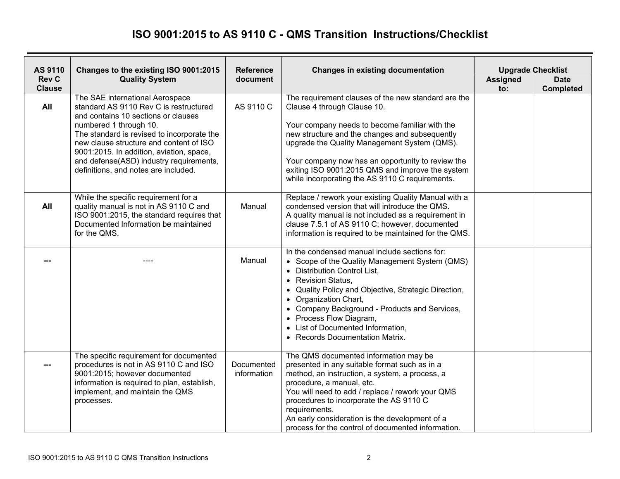| AS 9110                       | Changes to the existing ISO 9001:2015                                                                                                                                                                                                                                                                                                                              | <b>Reference</b><br><b>Changes in existing documentation</b> |                                                                                                                                                                                                                                                                                                                                                                                                    |                        | <b>Upgrade Checklist</b>        |
|-------------------------------|--------------------------------------------------------------------------------------------------------------------------------------------------------------------------------------------------------------------------------------------------------------------------------------------------------------------------------------------------------------------|--------------------------------------------------------------|----------------------------------------------------------------------------------------------------------------------------------------------------------------------------------------------------------------------------------------------------------------------------------------------------------------------------------------------------------------------------------------------------|------------------------|---------------------------------|
| <b>Rev C</b><br><b>Clause</b> | <b>Quality System</b>                                                                                                                                                                                                                                                                                                                                              | document                                                     |                                                                                                                                                                                                                                                                                                                                                                                                    | <b>Assigned</b><br>to: | <b>Date</b><br><b>Completed</b> |
| All                           | The SAE international Aerospace<br>standard AS 9110 Rev C is restructured<br>and contains 10 sections or clauses<br>numbered 1 through 10.<br>The standard is revised to incorporate the<br>new clause structure and content of ISO<br>9001:2015. In addition, aviation, space,<br>and defense(ASD) industry requirements,<br>definitions, and notes are included. | AS 9110 C                                                    | The requirement clauses of the new standard are the<br>Clause 4 through Clause 10.<br>Your company needs to become familiar with the<br>new structure and the changes and subsequently<br>upgrade the Quality Management System (QMS).<br>Your company now has an opportunity to review the<br>exiting ISO 9001:2015 QMS and improve the system<br>while incorporating the AS 9110 C requirements. |                        |                                 |
| All                           | While the specific requirement for a<br>quality manual is not in AS 9110 C and<br>ISO 9001:2015, the standard requires that<br>Documented Information be maintained<br>for the QMS.                                                                                                                                                                                | Manual                                                       | Replace / rework your existing Quality Manual with a<br>condensed version that will introduce the QMS.<br>A quality manual is not included as a requirement in<br>clause 7.5.1 of AS 9110 C; however, documented<br>information is required to be maintained for the QMS.                                                                                                                          |                        |                                 |
|                               |                                                                                                                                                                                                                                                                                                                                                                    | Manual                                                       | In the condensed manual include sections for:<br>• Scope of the Quality Management System (QMS)<br>• Distribution Control List,<br>• Revision Status,<br>Quality Policy and Objective, Strategic Direction,<br>• Organization Chart,<br>• Company Background - Products and Services,<br>• Process Flow Diagram,<br>List of Documented Information,<br>• Records Documentation Matrix.             |                        |                                 |
|                               | The specific requirement for documented<br>procedures is not in AS 9110 C and ISO<br>9001:2015; however documented<br>information is required to plan, establish,<br>implement, and maintain the QMS<br>processes.                                                                                                                                                 | Documented<br>information                                    | The QMS documented information may be<br>presented in any suitable format such as in a<br>method, an instruction, a system, a process, a<br>procedure, a manual, etc.<br>You will need to add / replace / rework your QMS<br>procedures to incorporate the AS 9110 C<br>requirements.<br>An early consideration is the development of a<br>process for the control of documented information.      |                        |                                 |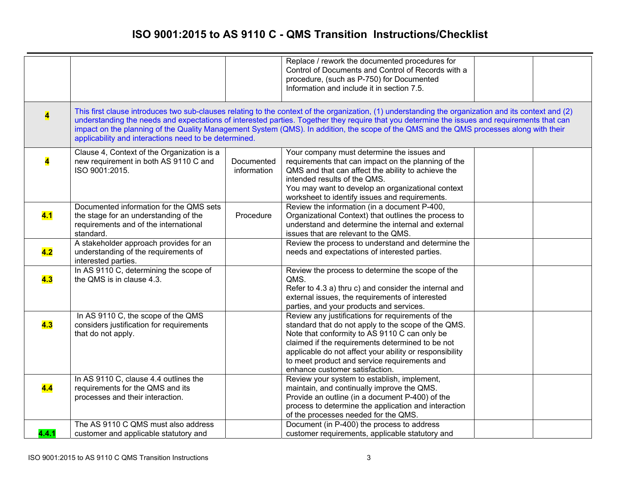|                         |                                                                                                                                        |                           | Replace / rework the documented procedures for<br>Control of Documents and Control of Records with a<br>procedure, (such as P-750) for Documented<br>Information and include it in section 7.5.                                                                                                                                                                                                                                                  |  |
|-------------------------|----------------------------------------------------------------------------------------------------------------------------------------|---------------------------|--------------------------------------------------------------------------------------------------------------------------------------------------------------------------------------------------------------------------------------------------------------------------------------------------------------------------------------------------------------------------------------------------------------------------------------------------|--|
| $\overline{\mathbf{4}}$ | applicability and interactions need to be determined.                                                                                  |                           | This first clause introduces two sub-clauses relating to the context of the organization, (1) understanding the organization and its context and (2)<br>understanding the needs and expectations of interested parties. Together they require that you determine the issues and requirements that can<br>impact on the planning of the Quality Management System (QMS). In addition, the scope of the QMS and the QMS processes along with their |  |
| $\overline{\mathbf{4}}$ | Clause 4, Context of the Organization is a<br>new requirement in both AS 9110 C and<br>ISO 9001:2015.                                  | Documented<br>information | Your company must determine the issues and<br>requirements that can impact on the planning of the<br>QMS and that can affect the ability to achieve the<br>intended results of the QMS.<br>You may want to develop an organizational context<br>worksheet to identify issues and requirements.                                                                                                                                                   |  |
| 4.1                     | Documented information for the QMS sets<br>the stage for an understanding of the<br>requirements and of the international<br>standard. | Procedure                 | Review the information (in a document P-400,<br>Organizational Context) that outlines the process to<br>understand and determine the internal and external<br>issues that are relevant to the QMS.                                                                                                                                                                                                                                               |  |
| 4.2                     | A stakeholder approach provides for an<br>understanding of the requirements of<br>interested parties.                                  |                           | Review the process to understand and determine the<br>needs and expectations of interested parties.                                                                                                                                                                                                                                                                                                                                              |  |
| 4.3                     | In AS 9110 C, determining the scope of<br>the QMS is in clause 4.3.                                                                    |                           | Review the process to determine the scope of the<br>QMS.<br>Refer to 4.3 a) thru c) and consider the internal and<br>external issues, the requirements of interested<br>parties, and your products and services.                                                                                                                                                                                                                                 |  |
| 4.3                     | In AS 9110 C, the scope of the QMS<br>considers justification for requirements<br>that do not apply.                                   |                           | Review any justifications for requirements of the<br>standard that do not apply to the scope of the QMS.<br>Note that conformity to AS 9110 C can only be<br>claimed if the requirements determined to be not<br>applicable do not affect your ability or responsibility<br>to meet product and service requirements and<br>enhance customer satisfaction.                                                                                       |  |
| 4.4                     | In AS 9110 C, clause 4.4 outlines the<br>requirements for the QMS and its<br>processes and their interaction.                          |                           | Review your system to establish, implement,<br>maintain, and continually improve the QMS.<br>Provide an outline (in a document P-400) of the<br>process to determine the application and interaction<br>of the processes needed for the QMS.                                                                                                                                                                                                     |  |
| 4.4.1                   | The AS 9110 C QMS must also address<br>customer and applicable statutory and                                                           |                           | Document (in P-400) the process to address<br>customer requirements, applicable statutory and                                                                                                                                                                                                                                                                                                                                                    |  |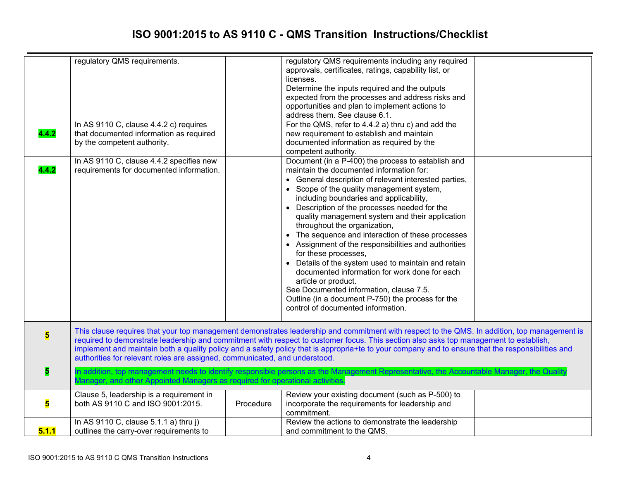| 4.4.2<br>4.4.2          | regulatory QMS requirements.<br>In AS 9110 C, clause 4.4.2 c) requires<br>that documented information as required<br>by the competent authority.<br>In AS 9110 C, clause 4.4.2 specifies new<br>requirements for documented information. |           | regulatory QMS requirements including any required<br>approvals, certificates, ratings, capability list, or<br>licenses.<br>Determine the inputs required and the outputs<br>expected from the processes and address risks and<br>opportunities and plan to implement actions to<br>address them. See clause 6.1.<br>For the QMS, refer to 4.4.2 a) thru c) and add the<br>new requirement to establish and maintain<br>documented information as required by the<br>competent authority.<br>Document (in a P-400) the process to establish and<br>maintain the documented information for:<br>• General description of relevant interested parties,<br>• Scope of the quality management system, |  |
|-------------------------|------------------------------------------------------------------------------------------------------------------------------------------------------------------------------------------------------------------------------------------|-----------|---------------------------------------------------------------------------------------------------------------------------------------------------------------------------------------------------------------------------------------------------------------------------------------------------------------------------------------------------------------------------------------------------------------------------------------------------------------------------------------------------------------------------------------------------------------------------------------------------------------------------------------------------------------------------------------------------|--|
|                         |                                                                                                                                                                                                                                          |           | including boundaries and applicability,<br>• Description of the processes needed for the<br>quality management system and their application<br>throughout the organization,<br>• The sequence and interaction of these processes<br>• Assignment of the responsibilities and authorities<br>for these processes,<br>Details of the system used to maintain and retain<br>documented information for work done for each<br>article or product.<br>See Documented information, clause 7.5.<br>Outline (in a document P-750) the process for the<br>control of documented information.                                                                                                               |  |
| $\overline{\mathbf{5}}$ | authorities for relevant roles are assigned, communicated, and understood.                                                                                                                                                               |           | This clause requires that your top management demonstrates leadership and commitment with respect to the QMS. In addition, top management is<br>required to demonstrate leadership and commitment with respect to customer focus. This section also asks top management to establish,<br>implement and maintain both a quality policy and a safety policy that is appropria+te to your company and to ensure that the responsibilities and                                                                                                                                                                                                                                                        |  |
| 5                       | Manager, and other Appointed Managers as required for operational activities.                                                                                                                                                            |           | In addition, top management needs to identify responsible persons as the Management Representative, the Accountable Manager, the Quality                                                                                                                                                                                                                                                                                                                                                                                                                                                                                                                                                          |  |
| 5                       | Clause 5, leadership is a requirement in<br>both AS 9110 C and ISO 9001:2015.                                                                                                                                                            | Procedure | Review your existing document (such as P-500) to<br>incorporate the requirements for leadership and<br>commitment.                                                                                                                                                                                                                                                                                                                                                                                                                                                                                                                                                                                |  |
| 5.1.1                   | In AS 9110 C, clause 5.1.1 a) thru j)<br>outlines the carry-over requirements to                                                                                                                                                         |           | Review the actions to demonstrate the leadership<br>and commitment to the QMS.                                                                                                                                                                                                                                                                                                                                                                                                                                                                                                                                                                                                                    |  |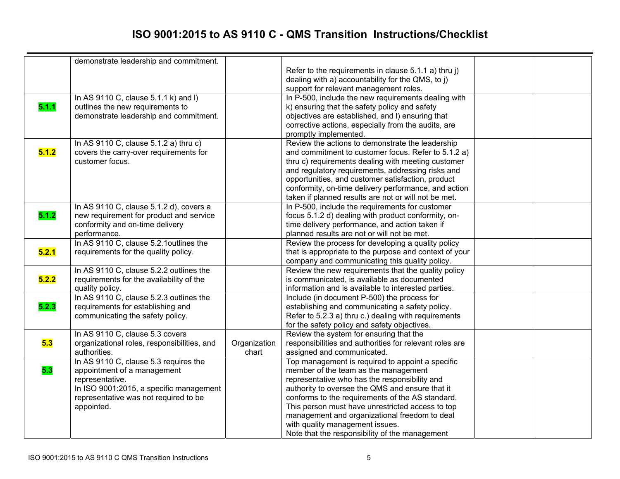|       | demonstrate leadership and commitment.      |              |                                                                           |  |
|-------|---------------------------------------------|--------------|---------------------------------------------------------------------------|--|
|       |                                             |              | Refer to the requirements in clause $5.1.1$ a) thru j)                    |  |
|       |                                             |              | dealing with a) accountability for the QMS, to j)                         |  |
|       |                                             |              | support for relevant management roles.                                    |  |
|       | In AS 9110 C, clause 5.1.1 k) and I)        |              | In P-500, include the new requirements dealing with                       |  |
| 5.1.1 | outlines the new requirements to            |              | k) ensuring that the safety policy and safety                             |  |
|       | demonstrate leadership and commitment.      |              | objectives are established, and I) ensuring that                          |  |
|       |                                             |              | corrective actions, especially from the audits, are                       |  |
|       |                                             |              |                                                                           |  |
|       | In AS 9110 C, clause 5.1.2 a) thru c)       |              | promptly implemented.<br>Review the actions to demonstrate the leadership |  |
| 5.1.2 |                                             |              |                                                                           |  |
|       | covers the carry-over requirements for      |              | and commitment to customer focus. Refer to 5.1.2 a)                       |  |
|       | customer focus.                             |              | thru c) requirements dealing with meeting customer                        |  |
|       |                                             |              | and regulatory requirements, addressing risks and                         |  |
|       |                                             |              | opportunities, and customer satisfaction, product                         |  |
|       |                                             |              | conformity, on-time delivery performance, and action                      |  |
|       |                                             |              | taken if planned results are not or will not be met.                      |  |
|       | In AS 9110 C, clause 5.1.2 d), covers a     |              | In P-500, include the requirements for customer                           |  |
| 5.1.2 | new requirement for product and service     |              | focus 5.1.2 d) dealing with product conformity, on-                       |  |
|       | conformity and on-time delivery             |              | time delivery performance, and action taken if                            |  |
|       | performance.                                |              | planned results are not or will not be met.                               |  |
|       | In AS 9110 C, clause 5.2.1 outlines the     |              | Review the process for developing a quality policy                        |  |
| 5.2.1 | requirements for the quality policy.        |              | that is appropriate to the purpose and context of your                    |  |
|       |                                             |              | company and communicating this quality policy.                            |  |
|       | In AS 9110 C, clause 5.2.2 outlines the     |              | Review the new requirements that the quality policy                       |  |
| 5.2.2 | requirements for the availability of the    |              | is communicated, is available as documented                               |  |
|       | quality policy.                             |              | information and is available to interested parties.                       |  |
|       | In AS 9110 C, clause 5.2.3 outlines the     |              | Include (in document P-500) the process for                               |  |
| 5.2.3 | requirements for establishing and           |              | establishing and communicating a safety policy.                           |  |
|       | communicating the safety policy.            |              | Refer to 5.2.3 a) thru c.) dealing with requirements                      |  |
|       |                                             |              | for the safety policy and safety objectives.                              |  |
|       | In AS 9110 C, clause 5.3 covers             |              | Review the system for ensuring that the                                   |  |
| 5.3   | organizational roles, responsibilities, and | Organization | responsibilities and authorities for relevant roles are                   |  |
|       | authorities.                                | chart        | assigned and communicated.                                                |  |
|       | In AS 9110 C, clause 5.3 requires the       |              | Top management is required to appoint a specific                          |  |
| 5.3   | appointment of a management                 |              | member of the team as the management                                      |  |
|       | representative.                             |              | representative who has the responsibility and                             |  |
|       | In ISO 9001:2015, a specific management     |              | authority to oversee the QMS and ensure that it                           |  |
|       | representative was not required to be       |              | conforms to the requirements of the AS standard.                          |  |
|       | appointed.                                  |              | This person must have unrestricted access to top                          |  |
|       |                                             |              | management and organizational freedom to deal                             |  |
|       |                                             |              | with quality management issues.                                           |  |
|       |                                             |              | Note that the responsibility of the management                            |  |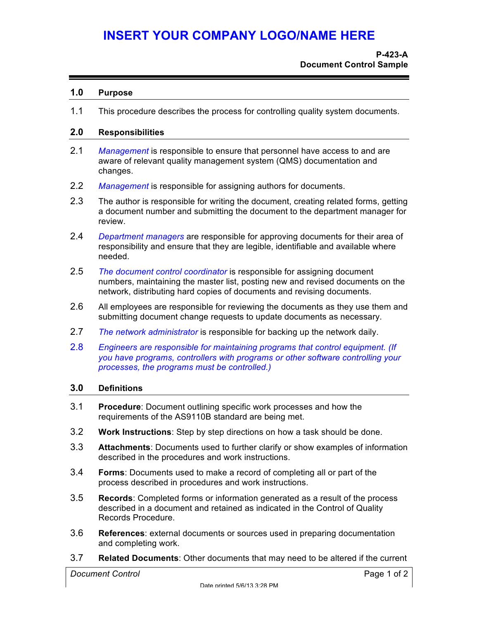#### **1.0 Purpose**

1.1 This procedure describes the process for controlling quality system documents.

#### **2.0 Responsibilities**

- 2.1 *Management* is responsible to ensure that personnel have access to and are aware of relevant quality management system (QMS) documentation and changes.
- 2.2 *Management* is responsible for assigning authors for documents.
- 2.3 The author is responsible for writing the document, creating related forms, getting a document number and submitting the document to the department manager for review.
- 2.4 *Department managers* are responsible for approving documents for their area of responsibility and ensure that they are legible, identifiable and available where needed.
- 2.5 *The document control coordinator* is responsible for assigning document numbers, maintaining the master list, posting new and revised documents on the network, distributing hard copies of documents and revising documents.
- 2.6 All employees are responsible for reviewing the documents as they use them and submitting document change requests to update documents as necessary.
- 2.7 *The network administrator* is responsible for backing up the network daily.
- 2.8 *Engineers are responsible for maintaining programs that control equipment. (If you have programs, controllers with programs or other software controlling your processes, the programs must be controlled.)*

#### **3.0 Definitions**

- 3.1 **Procedure**: Document outlining specific work processes and how the requirements of the AS9110B standard are being met.
- 3.2 **Work Instructions**: Step by step directions on how a task should be done.
- 3.3 **Attachments**: Documents used to further clarify or show examples of information described in the procedures and work instructions.
- 3.4 **Forms**: Documents used to make a record of completing all or part of the process described in procedures and work instructions.
- 3.5 **Records**: Completed forms or information generated as a result of the process described in a document and retained as indicated in the Control of Quality Records Procedure.
- 3.6 **References**: external documents or sources used in preparing documentation and completing work.
- 3.7 **Related Documents**: Other documents that may need to be altered if the current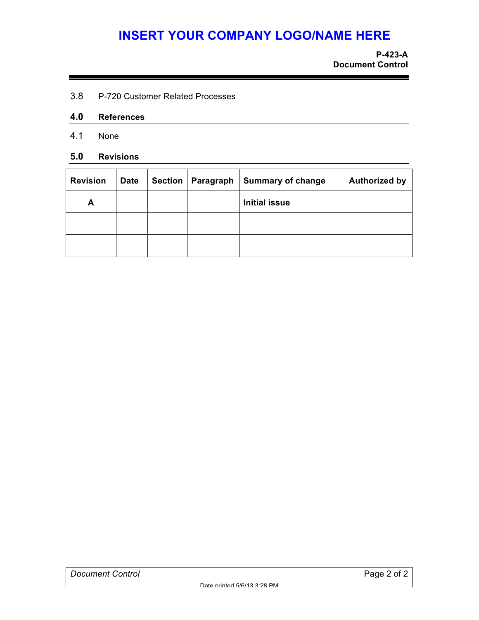3.8 P-720 Customer Related Processes

#### **4.0 References**

4.1 None

#### **5.0 Revisions**

| <b>Revision</b> | <b>Date</b> | <b>Section</b> | Paragraph | <b>Summary of change</b> | <b>Authorized by</b> |
|-----------------|-------------|----------------|-----------|--------------------------|----------------------|
| А               |             |                |           | <b>Initial issue</b>     |                      |
|                 |             |                |           |                          |                      |
|                 |             |                |           |                          |                      |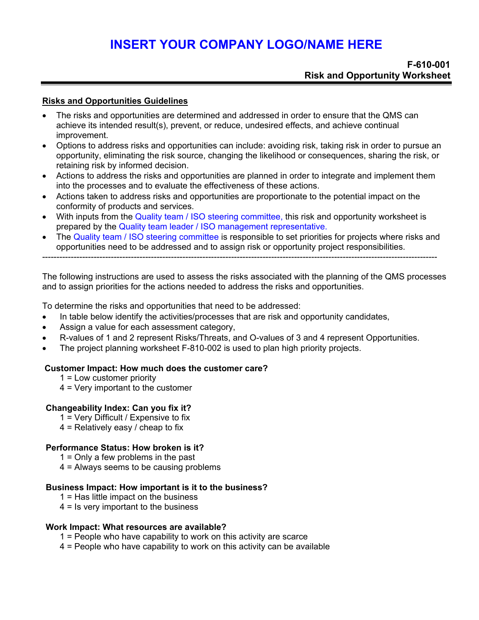#### **Risks and Opportunities Guidelines**

- The risks and opportunities are determined and addressed in order to ensure that the QMS can achieve its intended result(s), prevent, or reduce, undesired effects, and achieve continual improvement.
- Options to address risks and opportunities can include: avoiding risk, taking risk in order to pursue an opportunity, eliminating the risk source, changing the likelihood or consequences, sharing the risk, or retaining risk by informed decision.
- Actions to address the risks and opportunities are planned in order to integrate and implement them into the processes and to evaluate the effectiveness of these actions.
- Actions taken to address risks and opportunities are proportionate to the potential impact on the conformity of products and services.
- With inputs from the Quality team / ISO steering committee, this risk and opportunity worksheet is prepared by the Quality team leader / ISO management representative.
- The Quality team / ISO steering committee is responsible to set priorities for projects where risks and opportunities need to be addressed and to assign risk or opportunity project responsibilities.

------------------------------------------------------------------------------------------------------------------------------------------

The following instructions are used to assess the risks associated with the planning of the QMS processes and to assign priorities for the actions needed to address the risks and opportunities.

To determine the risks and opportunities that need to be addressed:

- In table below identify the activities/processes that are risk and opportunity candidates,
- Assign a value for each assessment category,
- R-values of 1 and 2 represent Risks/Threats, and O-values of 3 and 4 represent Opportunities.
- The project planning worksheet F-810-002 is used to plan high priority projects.

#### **Customer Impact: How much does the customer care?**

- 1 = Low customer priority
- 4 = Very important to the customer

#### **Changeability Index: Can you fix it?**

- 1 = Very Difficult / Expensive to fix
- $4$  = Relatively easy / cheap to fix

#### **Performance Status: How broken is it?**

- 1 = Only a few problems in the past
- 4 = Always seems to be causing problems

#### **Business Impact: How important is it to the business?**

- 1 = Has little impact on the business
- 4 = Is very important to the business

#### **Work Impact: What resources are available?**

- 1 = People who have capability to work on this activity are scarce
- 4 = People who have capability to work on this activity can be available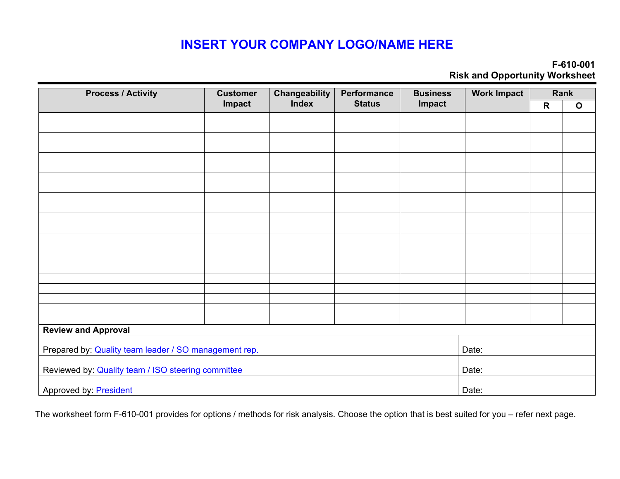#### **F-610-001 Risk and Opportunity Worksheet**

| <b>Process / Activity</b>                             | <b>Customer</b> | <b>Changeability</b> | Performance   | <b>Business</b> | <b>Work Impact</b> |   | Rank         |
|-------------------------------------------------------|-----------------|----------------------|---------------|-----------------|--------------------|---|--------------|
|                                                       | Impact          | <b>Index</b>         | <b>Status</b> | Impact          |                    | R | $\mathbf{o}$ |
|                                                       |                 |                      |               |                 |                    |   |              |
|                                                       |                 |                      |               |                 |                    |   |              |
|                                                       |                 |                      |               |                 |                    |   |              |
|                                                       |                 |                      |               |                 |                    |   |              |
|                                                       |                 |                      |               |                 |                    |   |              |
|                                                       |                 |                      |               |                 |                    |   |              |
|                                                       |                 |                      |               |                 |                    |   |              |
|                                                       |                 |                      |               |                 |                    |   |              |
|                                                       |                 |                      |               |                 |                    |   |              |
|                                                       |                 |                      |               |                 |                    |   |              |
|                                                       |                 |                      |               |                 |                    |   |              |
| <b>Review and Approval</b>                            |                 |                      |               |                 |                    |   |              |
| Prepared by: Quality team leader / SO management rep. |                 |                      |               |                 |                    |   |              |
| Reviewed by: Quality team / ISO steering committee    | Date:           |                      |               |                 |                    |   |              |
| <b>Approved by: President</b>                         | Date:           |                      |               |                 |                    |   |              |

The worksheet form F-610-001 provides for options / methods for risk analysis. Choose the option that is best suited for you – refer next page.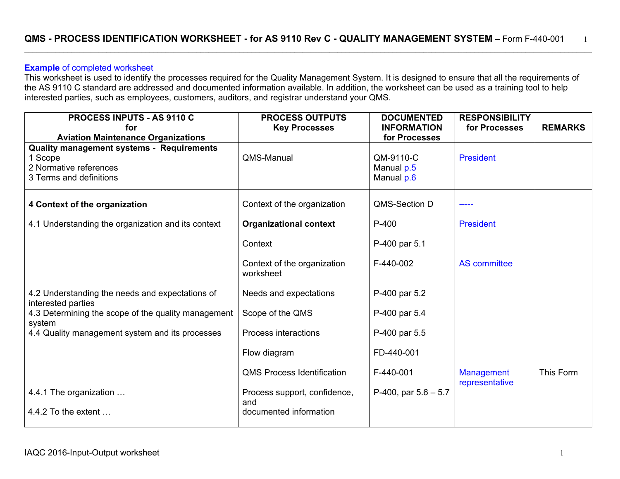\_\_\_\_\_\_\_\_\_\_\_\_\_\_\_\_\_\_\_\_\_\_\_\_\_\_\_\_\_\_\_\_\_\_\_\_\_\_\_\_\_\_\_\_\_\_\_\_\_\_\_\_\_\_\_\_\_\_\_\_\_\_\_\_\_\_\_\_\_\_\_\_\_\_\_\_\_\_\_\_\_\_\_\_\_\_\_\_\_\_\_\_\_\_\_\_\_\_\_\_\_\_\_\_\_\_\_\_\_\_\_\_\_\_\_\_\_\_\_\_\_\_\_\_\_\_\_\_\_\_\_\_\_\_\_\_\_\_\_\_\_\_\_\_\_

#### **Example** of completed worksheet

This worksheet is used to identify the processes required for the Quality Management System. It is designed to ensure that all the requirements of the AS 9110 C standard are addressed and documented information available. In addition, the worksheet can be used as a training tool to help interested parties, such as employees, customers, auditors, and registrar understand your QMS.

| <b>PROCESS INPUTS - AS 9110 C</b>                                                                                | <b>PROCESS OUTPUTS</b>                   | <b>DOCUMENTED</b>                     | <b>RESPONSIBILITY</b>               |                |
|------------------------------------------------------------------------------------------------------------------|------------------------------------------|---------------------------------------|-------------------------------------|----------------|
| for                                                                                                              | <b>Key Processes</b>                     | <b>INFORMATION</b>                    | for Processes                       | <b>REMARKS</b> |
| <b>Aviation Maintenance Organizations</b>                                                                        |                                          | for Processes                         |                                     |                |
| <b>Quality management systems - Requirements</b><br>1 Scope<br>2 Normative references<br>3 Terms and definitions | QMS-Manual                               | QM-9110-C<br>Manual p.5<br>Manual p.6 | President                           |                |
| 4 Context of the organization                                                                                    | Context of the organization              | QMS-Section D                         |                                     |                |
| 4.1 Understanding the organization and its context                                                               | <b>Organizational context</b>            | P-400                                 | <b>President</b>                    |                |
|                                                                                                                  | Context                                  | P-400 par 5.1                         |                                     |                |
|                                                                                                                  | Context of the organization<br>worksheet | F-440-002                             | <b>AS</b> committee                 |                |
| 4.2 Understanding the needs and expectations of<br>interested parties                                            | Needs and expectations                   | P-400 par 5.2                         |                                     |                |
| 4.3 Determining the scope of the quality management<br>system                                                    | Scope of the QMS                         | P-400 par 5.4                         |                                     |                |
| 4.4 Quality management system and its processes                                                                  | Process interactions                     | P-400 par 5.5                         |                                     |                |
|                                                                                                                  | Flow diagram                             | FD-440-001                            |                                     |                |
|                                                                                                                  | <b>QMS Process Identification</b>        | F-440-001                             | <b>Management</b><br>representative | This Form      |
| 4.4.1 The organization                                                                                           | Process support, confidence,<br>and      | P-400, par $5.6 - 5.7$                |                                     |                |
| 4.4.2 To the extent $\dots$                                                                                      | documented information                   |                                       |                                     |                |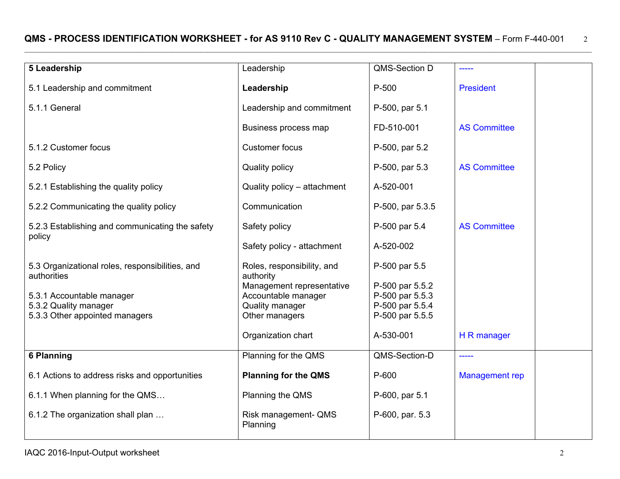#### QMS - PROCESS IDENTIFICATION WORKSHEET - for AS 9110 Rev C - QUALITY MANAGEMENT SYSTEM - Form F-440-001 2 \_\_\_\_\_\_\_\_\_\_\_\_\_\_\_\_\_\_\_\_\_\_\_\_\_\_\_\_\_\_\_\_\_\_\_\_\_\_\_\_\_\_\_\_\_\_\_\_\_\_\_\_\_\_\_\_\_\_\_\_\_\_\_\_\_\_\_\_\_\_\_\_\_\_\_\_\_\_\_\_\_\_\_\_\_\_\_\_\_\_\_\_\_\_\_\_\_\_\_\_\_\_\_\_\_\_\_\_\_\_\_\_\_\_\_\_\_\_\_\_\_\_\_\_\_\_\_\_\_\_\_\_\_\_\_\_\_\_\_\_\_\_\_\_\_

| 5 Leadership                                                   | Leadership                              | QMS-Section D                      |                     |
|----------------------------------------------------------------|-----------------------------------------|------------------------------------|---------------------|
| 5.1 Leadership and commitment                                  | Leadership                              | P-500                              | <b>President</b>    |
| 5.1.1 General                                                  | Leadership and commitment               | P-500, par 5.1                     |                     |
|                                                                | Business process map                    | FD-510-001                         | <b>AS Committee</b> |
| 5.1.2 Customer focus                                           | <b>Customer focus</b>                   | P-500, par 5.2                     |                     |
| 5.2 Policy                                                     | <b>Quality policy</b>                   | P-500, par 5.3                     | <b>AS Committee</b> |
| 5.2.1 Establishing the quality policy                          | Quality policy - attachment             | A-520-001                          |                     |
| 5.2.2 Communicating the quality policy                         | Communication                           | P-500, par 5.3.5                   |                     |
| 5.2.3 Establishing and communicating the safety                | Safety policy                           | P-500 par 5.4                      | <b>AS Committee</b> |
| policy                                                         | Safety policy - attachment              | A-520-002                          |                     |
| 5.3 Organizational roles, responsibilities, and<br>authorities | Roles, responsibility, and<br>authority | P-500 par 5.5                      |                     |
|                                                                | Management representative               | P-500 par 5.5.2                    |                     |
| 5.3.1 Accountable manager                                      | Accountable manager                     | P-500 par 5.5.3                    |                     |
| 5.3.2 Quality manager<br>5.3.3 Other appointed managers        | Quality manager<br>Other managers       | P-500 par 5.5.4<br>P-500 par 5.5.5 |                     |
|                                                                |                                         |                                    |                     |
|                                                                | Organization chart                      | A-530-001                          | H R manager         |
| <b>6 Planning</b>                                              | Planning for the QMS                    | QMS-Section-D                      | -----               |
| 6.1 Actions to address risks and opportunities                 | <b>Planning for the QMS</b>             | P-600                              | Management rep      |
| 6.1.1 When planning for the QMS                                | Planning the QMS                        | P-600, par 5.1                     |                     |
| 6.1.2 The organization shall plan                              | Risk management- QMS<br>Planning        | P-600, par. 5.3                    |                     |